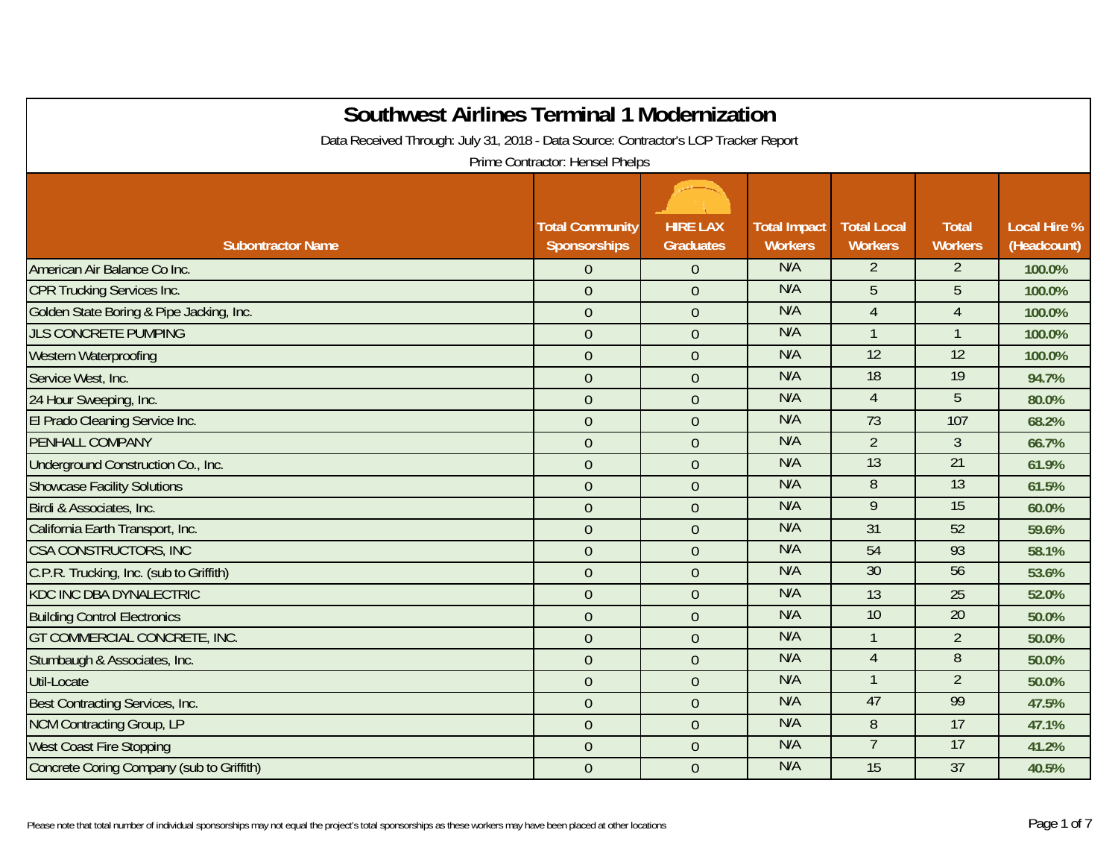| <b>Southwest Airlines Terminal 1 Modernization</b><br>Data Received Through: July 31, 2018 - Data Source: Contractor's LCP Tracker Report<br>Prime Contractor: Hensel Phelps |                                        |                                     |                                       |                                      |                                |                                    |  |  |
|------------------------------------------------------------------------------------------------------------------------------------------------------------------------------|----------------------------------------|-------------------------------------|---------------------------------------|--------------------------------------|--------------------------------|------------------------------------|--|--|
| <b>Subontractor Name</b>                                                                                                                                                     | <b>Total Community</b><br>Sponsorships | <b>HIRE LAX</b><br><b>Graduates</b> | <b>Total Impact</b><br><b>Workers</b> | <b>Total Local</b><br><b>Workers</b> | <b>Total</b><br><b>Workers</b> | <b>Local Hire %</b><br>(Headcount) |  |  |
| American Air Balance Co Inc.                                                                                                                                                 | $\overline{0}$                         | $\overline{0}$                      | N/A                                   | $\overline{2}$                       | $\overline{2}$                 | 100.0%                             |  |  |
| <b>CPR Trucking Services Inc.</b>                                                                                                                                            | $\overline{0}$                         | $\overline{0}$                      | N/A                                   | 5                                    | 5                              | 100.0%                             |  |  |
| Golden State Boring & Pipe Jacking, Inc.                                                                                                                                     | $\overline{0}$                         | $\overline{0}$                      | N/A                                   | $\overline{4}$                       | $\overline{4}$                 | 100.0%                             |  |  |
| <b>JLS CONCRETE PUMPING</b>                                                                                                                                                  | $\overline{0}$                         | $\overline{0}$                      | N/A                                   | $\mathbf{1}$                         | $\overline{1}$                 | 100.0%                             |  |  |
| Western Waterproofing                                                                                                                                                        | $\overline{0}$                         | $\overline{0}$                      | N/A                                   | 12                                   | 12                             | 100.0%                             |  |  |
| Service West, Inc.                                                                                                                                                           | $\overline{0}$                         | $\overline{0}$                      | N/A                                   | 18                                   | 19                             | 94.7%                              |  |  |
| 24 Hour Sweeping, Inc.                                                                                                                                                       | $\overline{0}$                         | $\overline{0}$                      | N/A                                   | $\overline{4}$                       | $\overline{5}$                 | 80.0%                              |  |  |
| El Prado Cleaning Service Inc.                                                                                                                                               | $\overline{0}$                         | $\overline{0}$                      | N/A                                   | 73                                   | 107                            | 68.2%                              |  |  |
| PENHALL COMPANY                                                                                                                                                              | $\mathbf 0$                            | $\overline{0}$                      | N/A                                   | $\overline{2}$                       | $\overline{3}$                 | 66.7%                              |  |  |
| Underground Construction Co., Inc.                                                                                                                                           | $\overline{0}$                         | $\mathbf{0}$                        | N/A                                   | 13                                   | 21                             | 61.9%                              |  |  |
| <b>Showcase Facility Solutions</b>                                                                                                                                           | $\overline{0}$                         | $\overline{0}$                      | N/A                                   | $8\,$                                | 13                             | 61.5%                              |  |  |
| Birdi & Associates, Inc.                                                                                                                                                     | $\overline{0}$                         | $\overline{0}$                      | N/A                                   | 9                                    | 15                             | 60.0%                              |  |  |
| California Earth Transport, Inc.                                                                                                                                             | $\overline{0}$                         | $\overline{0}$                      | N/A                                   | 31                                   | 52                             | 59.6%                              |  |  |
| <b>CSA CONSTRUCTORS, INC</b>                                                                                                                                                 | $\overline{0}$                         | $\overline{0}$                      | N/A                                   | 54                                   | 93                             | 58.1%                              |  |  |
| C.P.R. Trucking, Inc. (sub to Griffith)                                                                                                                                      | $\overline{0}$                         | $\overline{0}$                      | N/A                                   | 30                                   | 56                             | 53.6%                              |  |  |
| <b>KDC INC DBA DYNALECTRIC</b>                                                                                                                                               | $\overline{0}$                         | $\overline{0}$                      | N/A                                   | 13                                   | 25                             | 52.0%                              |  |  |
| <b>Building Control Electronics</b>                                                                                                                                          | $\overline{0}$                         | $\overline{0}$                      | N/A                                   | 10                                   | 20                             | 50.0%                              |  |  |
| GT COMMERCIAL CONCRETE, INC.                                                                                                                                                 | $\overline{0}$                         | $\overline{0}$                      | N/A                                   | $\mathbf{1}$                         | $\overline{2}$                 | 50.0%                              |  |  |
| Stumbaugh & Associates, Inc.                                                                                                                                                 | $\overline{0}$                         | $\overline{0}$                      | N/A                                   | $\overline{4}$                       | 8                              | 50.0%                              |  |  |
| <b>Util-Locate</b>                                                                                                                                                           | $\boldsymbol{0}$                       | $\overline{0}$                      | N/A                                   | $\mathbf{1}$                         | $\overline{2}$                 | 50.0%                              |  |  |
| Best Contracting Services, Inc.                                                                                                                                              | $\overline{0}$                         | $\overline{0}$                      | N/A                                   | 47                                   | 99                             | 47.5%                              |  |  |
| <b>NCM Contracting Group, LP</b>                                                                                                                                             | $\overline{0}$                         | $\overline{0}$                      | N/A                                   | 8                                    | 17                             | 47.1%                              |  |  |
| <b>West Coast Fire Stopping</b>                                                                                                                                              | $\overline{0}$                         | $\overline{0}$                      | N/A                                   | $\overline{7}$                       | 17                             | 41.2%                              |  |  |
| Concrete Coring Company (sub to Griffith)                                                                                                                                    | $\mathbf{0}$                           | $\overline{0}$                      | N/A                                   | 15                                   | 37                             | 40.5%                              |  |  |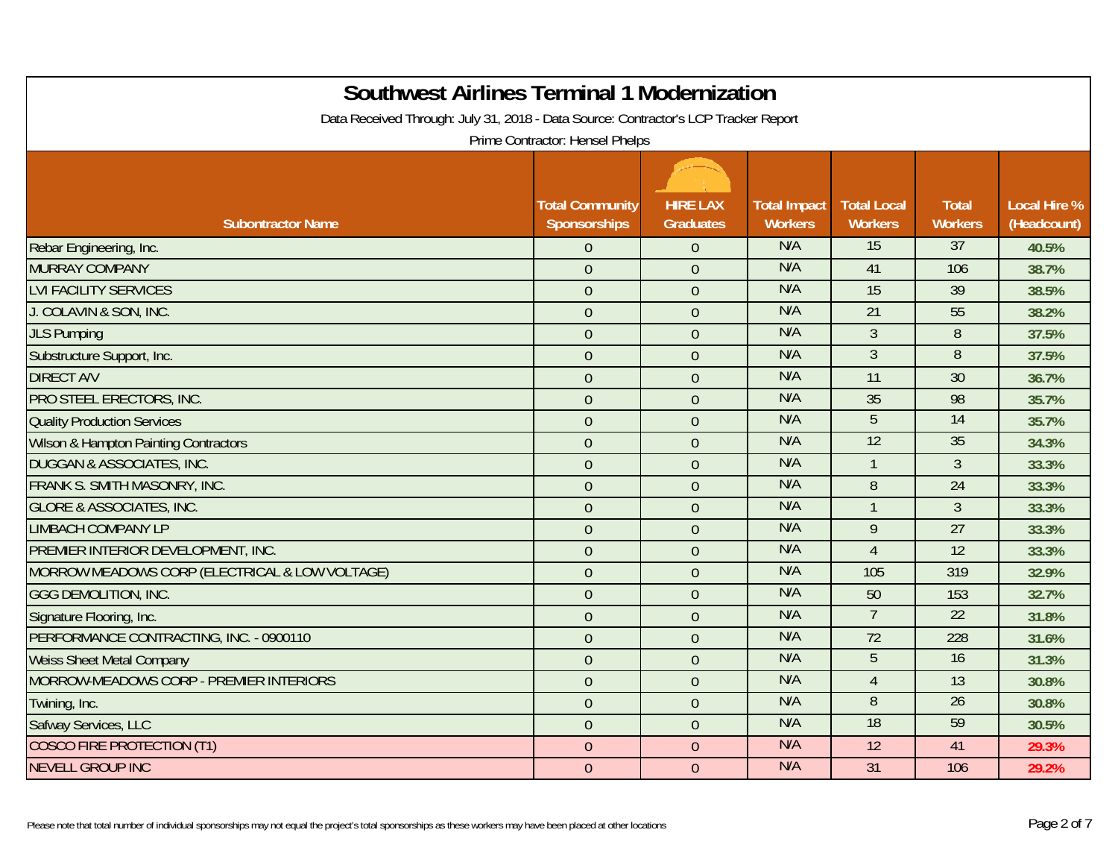| <b>Southwest Airlines Terminal 1 Modernization</b><br>Data Received Through: July 31, 2018 - Data Source: Contractor's LCP Tracker Report |                        |                  |                     |                    |                 |                     |  |  |  |
|-------------------------------------------------------------------------------------------------------------------------------------------|------------------------|------------------|---------------------|--------------------|-----------------|---------------------|--|--|--|
| Prime Contractor: Hensel Phelps                                                                                                           |                        |                  |                     |                    |                 |                     |  |  |  |
|                                                                                                                                           | <b>Total Community</b> | <b>HIRE LAX</b>  | <b>Total Impact</b> | <b>Total Local</b> | <b>Total</b>    | <b>Local Hire %</b> |  |  |  |
| <b>Subontractor Name</b>                                                                                                                  | Sponsorships           | <b>Graduates</b> | <b>Workers</b>      | <b>Workers</b>     | <b>Workers</b>  | (Headcount)         |  |  |  |
| Rebar Engineering, Inc.                                                                                                                   | $\boldsymbol{0}$       | $\overline{0}$   | N/A                 | 15                 | 37              | 40.5%               |  |  |  |
| MURRAY COMPANY                                                                                                                            | $\overline{0}$         | $\overline{0}$   | N/A                 | 41                 | 106             | 38.7%               |  |  |  |
| <b>LVI FACILITY SERVICES</b>                                                                                                              | $\overline{0}$         | $\overline{0}$   | N/A                 | 15                 | 39              | 38.5%               |  |  |  |
| J. COLAVIN & SON, INC.                                                                                                                    | $\overline{0}$         | $\overline{0}$   | N/A                 | 21                 | 55              | 38.2%               |  |  |  |
| <b>JLS Pumping</b>                                                                                                                        | $\overline{0}$         | $\overline{0}$   | N/A                 | $\mathfrak{Z}$     | 8               | 37.5%               |  |  |  |
| Substructure Support, Inc.                                                                                                                | $\overline{0}$         | $\overline{0}$   | N/A                 | $\overline{3}$     | $\overline{8}$  | 37.5%               |  |  |  |
| <b>DIRECT A/V</b>                                                                                                                         | $\overline{0}$         | $\overline{0}$   | N/A                 | 11                 | 30              | 36.7%               |  |  |  |
| PRO STEEL ERECTORS, INC.                                                                                                                  | $\theta$               | $\overline{0}$   | N/A                 | 35                 | 98              | 35.7%               |  |  |  |
| <b>Quality Production Services</b>                                                                                                        | $\overline{0}$         | $\overline{0}$   | N/A                 | $\overline{5}$     | 14              | 35.7%               |  |  |  |
| <b>Wilson &amp; Hampton Painting Contractors</b>                                                                                          | $\overline{0}$         | $\overline{0}$   | N/A                 | 12                 | 35              | 34.3%               |  |  |  |
| <b>DUGGAN &amp; ASSOCIATES, INC.</b>                                                                                                      | $\theta$               | $\overline{0}$   | N/A                 | $\mathbf{1}$       | $\overline{3}$  | 33.3%               |  |  |  |
| FRANK S. SMITH MASONRY, INC.                                                                                                              | $\theta$               | $\overline{0}$   | N/A                 | 8                  | 24              | 33.3%               |  |  |  |
| <b>GLORE &amp; ASSOCIATES, INC.</b>                                                                                                       | $\overline{0}$         | $\overline{0}$   | N/A                 | $\mathbf{1}$       | $\overline{3}$  | 33.3%               |  |  |  |
| <b>LIMBACH COMPANY LP</b>                                                                                                                 | $\mathbf{0}$           | $\overline{0}$   | N/A                 | 9                  | 27              | 33.3%               |  |  |  |
| PREMIER INTERIOR DEVELOPMENT, INC.                                                                                                        | $\theta$               | $\overline{0}$   | N/A                 | $\overline{4}$     | 12              | 33.3%               |  |  |  |
| MORROW MEADOWS CORP (ELECTRICAL & LOW VOLTAGE)                                                                                            | $\overline{0}$         | $\overline{0}$   | N/A                 | 105                | 319             | 32.9%               |  |  |  |
| <b>GGG DEMOLITION, INC.</b>                                                                                                               | $\overline{0}$         | $\overline{0}$   | N/A                 | 50                 | 153             | 32.7%               |  |  |  |
| Signature Flooring, Inc.                                                                                                                  | $\overline{0}$         | $\overline{0}$   | N/A                 | $\overline{7}$     | $\overline{22}$ | 31.8%               |  |  |  |
| PERFORMANCE CONTRACTING, INC. - 0900110                                                                                                   | $\mathbf{0}$           | $\overline{0}$   | N/A                 | 72                 | 228             | 31.6%               |  |  |  |
| <b>Weiss Sheet Metal Company</b>                                                                                                          | $\overline{0}$         | $\overline{0}$   | N/A                 | 5                  | 16              | 31.3%               |  |  |  |
| MORROW-MEADOWS CORP - PREMIER INTERIORS                                                                                                   | $\theta$               | $\overline{0}$   | N/A                 | $\overline{4}$     | 13              | 30.8%               |  |  |  |
| Twining, Inc.                                                                                                                             | $\overline{0}$         | $\overline{0}$   | N/A                 | 8                  | 26              | 30.8%               |  |  |  |
| Safway Services, LLC                                                                                                                      | $\overline{0}$         | $\overline{0}$   | N/A                 | 18                 | 59              | 30.5%               |  |  |  |
| <b>COSCO FIRE PROTECTION (T1)</b>                                                                                                         | $\mathbf{0}$           | $\overline{0}$   | N/A                 | 12                 | 41              | 29.3%               |  |  |  |
| <b>NEVELL GROUP INC</b>                                                                                                                   | $\overline{0}$         | $\overline{0}$   | N/A                 | 31                 | 106             | 29.2%               |  |  |  |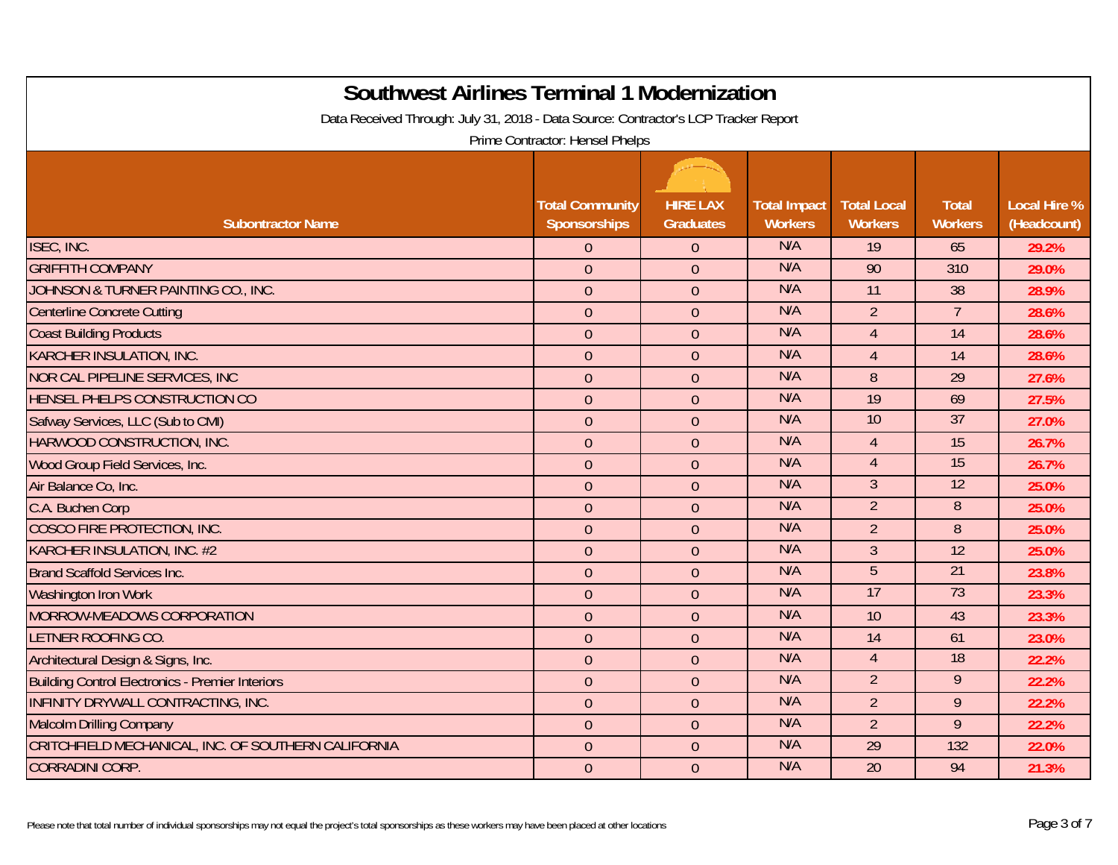| <b>Southwest Airlines Terminal 1 Modernization</b><br>Data Received Through: July 31, 2018 - Data Source: Contractor's LCP Tracker Report |                                        |                                     |                                       |                                      |                                |                                    |  |  |  |
|-------------------------------------------------------------------------------------------------------------------------------------------|----------------------------------------|-------------------------------------|---------------------------------------|--------------------------------------|--------------------------------|------------------------------------|--|--|--|
| Prime Contractor: Hensel Phelps                                                                                                           |                                        |                                     |                                       |                                      |                                |                                    |  |  |  |
| <b>Subontractor Name</b>                                                                                                                  | <b>Total Community</b><br>Sponsorships | <b>HIRE LAX</b><br><b>Graduates</b> | <b>Total Impact</b><br><b>Workers</b> | <b>Total Local</b><br><b>Workers</b> | <b>Total</b><br><b>Workers</b> | <b>Local Hire %</b><br>(Headcount) |  |  |  |
| ISEC, INC.                                                                                                                                | $\overline{0}$                         | $\overline{0}$                      | N/A                                   | 19                                   | 65                             | 29.2%                              |  |  |  |
| <b>GRIFFITH COMPANY</b>                                                                                                                   | $\overline{0}$                         | $\overline{0}$                      | N/A                                   | 90                                   | 310                            | 29.0%                              |  |  |  |
| JOHNSON & TURNER PAINTING CO., INC.                                                                                                       | $\overline{0}$                         | $\overline{0}$                      | N/A                                   | 11                                   | 38                             | 28.9%                              |  |  |  |
| <b>Centerline Concrete Cutting</b>                                                                                                        | $\overline{0}$                         | $\overline{0}$                      | N/A                                   | $\overline{2}$                       | $\overline{7}$                 | 28.6%                              |  |  |  |
| <b>Coast Building Products</b>                                                                                                            | $\overline{0}$                         | $\overline{0}$                      | N/A                                   | $\overline{4}$                       | 14                             | 28.6%                              |  |  |  |
| <b>KARCHER INSULATION, INC.</b>                                                                                                           | $\overline{0}$                         | $\overline{0}$                      | N/A                                   | $\overline{4}$                       | 14                             | 28.6%                              |  |  |  |
| NOR CAL PIPELINE SERVICES, INC                                                                                                            | $\overline{0}$                         | $\overline{0}$                      | N/A                                   | $\, 8$                               | 29                             | 27.6%                              |  |  |  |
| HENSEL PHELPS CONSTRUCTION CO                                                                                                             | $\overline{0}$                         | $\overline{0}$                      | N/A                                   | 19                                   | 69                             | 27.5%                              |  |  |  |
| Safway Services, LLC (Sub to CMI)                                                                                                         | $\overline{0}$                         | $\overline{0}$                      | N/A                                   | 10                                   | $\overline{37}$                | 27.0%                              |  |  |  |
| HARWOOD CONSTRUCTION, INC.                                                                                                                | $\overline{0}$                         | $\overline{0}$                      | N/A                                   | $\overline{4}$                       | 15                             | 26.7%                              |  |  |  |
| Wood Group Field Services, Inc.                                                                                                           | $\overline{0}$                         | $\overline{0}$                      | N/A                                   | $\overline{4}$                       | 15                             | 26.7%                              |  |  |  |
| Air Balance Co, Inc.                                                                                                                      | $\overline{0}$                         | $\overline{0}$                      | N/A                                   | $\overline{3}$                       | 12                             | 25.0%                              |  |  |  |
| C.A. Buchen Corp                                                                                                                          | $\overline{0}$                         | $\overline{0}$                      | N/A                                   | $\overline{2}$                       | 8                              | 25.0%                              |  |  |  |
| COSCO FIRE PROTECTION, INC.                                                                                                               | $\overline{0}$                         | $\overline{0}$                      | N/A                                   | $\overline{2}$                       | $\, 8$                         | 25.0%                              |  |  |  |
| KARCHER INSULATION, INC. #2                                                                                                               | $\overline{0}$                         | $\overline{0}$                      | N/A                                   | 3                                    | 12                             | 25.0%                              |  |  |  |
| <b>Brand Scaffold Services Inc.</b>                                                                                                       | $\overline{0}$                         | $\overline{0}$                      | N/A                                   | 5                                    | $\overline{21}$                | 23.8%                              |  |  |  |
| <b>Washington Iron Work</b>                                                                                                               | $\overline{0}$                         | $\overline{0}$                      | N/A                                   | 17                                   | 73                             | 23.3%                              |  |  |  |
| MORROW-MEADOWS CORPORATION                                                                                                                | $\overline{0}$                         | $\overline{0}$                      | N/A                                   | 10                                   | 43                             | 23.3%                              |  |  |  |
| LETNER ROOFING CO.                                                                                                                        | $\overline{0}$                         | $\overline{0}$                      | N/A                                   | 14                                   | 61                             | 23.0%                              |  |  |  |
| Architectural Design & Signs, Inc.                                                                                                        | $\overline{0}$                         | $\overline{0}$                      | N/A                                   | $\overline{4}$                       | 18                             | 22.2%                              |  |  |  |
| <b>Building Control Electronics - Premier Interiors</b>                                                                                   | $\overline{0}$                         | $\overline{0}$                      | N/A                                   | $\overline{2}$                       | 9                              | 22.2%                              |  |  |  |
| INFINITY DRYWALL CONTRACTING, INC.                                                                                                        | $\overline{0}$                         | $\overline{0}$                      | N/A                                   | $\overline{2}$                       | 9                              | 22.2%                              |  |  |  |
| <b>Malcolm Drilling Company</b>                                                                                                           | $\overline{0}$                         | $\overline{0}$                      | N/A                                   | $\overline{2}$                       | 9                              | 22.2%                              |  |  |  |
| CRITCHFIELD MECHANICAL, INC. OF SOUTHERN CALIFORNIA                                                                                       | $\overline{0}$                         | $\overline{0}$                      | N/A                                   | 29                                   | 132                            | 22.0%                              |  |  |  |
| <b>CORRADINI CORP.</b>                                                                                                                    | $\mathbf{0}$                           | $\overline{0}$                      | N/A                                   | 20                                   | 94                             | 21.3%                              |  |  |  |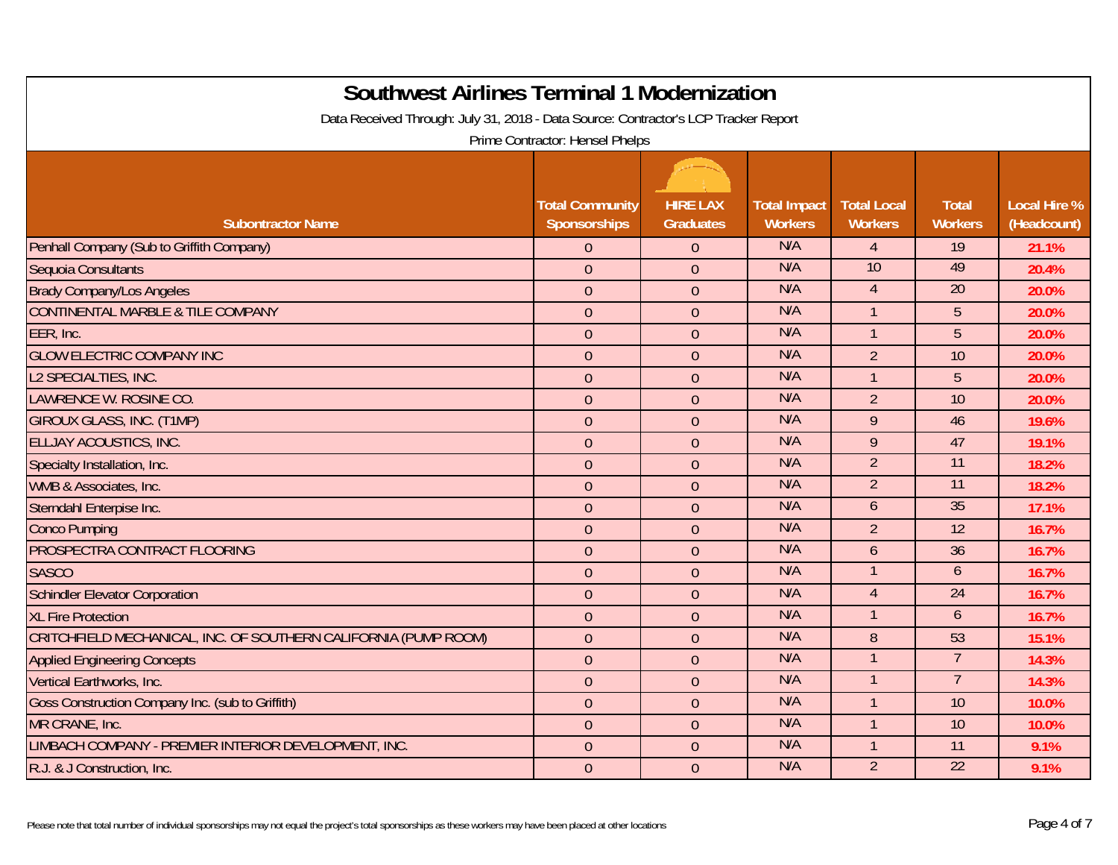| <b>Southwest Airlines Terminal 1 Modernization</b><br>Data Received Through: July 31, 2018 - Data Source: Contractor's LCP Tracker Report |                                        |                                     |                                       |                                      |                                |                                    |  |  |  |
|-------------------------------------------------------------------------------------------------------------------------------------------|----------------------------------------|-------------------------------------|---------------------------------------|--------------------------------------|--------------------------------|------------------------------------|--|--|--|
| Prime Contractor: Hensel Phelps                                                                                                           |                                        |                                     |                                       |                                      |                                |                                    |  |  |  |
| <b>Subontractor Name</b>                                                                                                                  | <b>Total Community</b><br>Sponsorships | <b>HIRE LAX</b><br><b>Graduates</b> | <b>Total Impact</b><br><b>Workers</b> | <b>Total Local</b><br><b>Workers</b> | <b>Total</b><br><b>Workers</b> | <b>Local Hire %</b><br>(Headcount) |  |  |  |
| Penhall Company (Sub to Griffith Company)                                                                                                 | $\overline{0}$                         | $\overline{0}$                      | N/A                                   | $\overline{4}$                       | 19                             | 21.1%                              |  |  |  |
| Sequoia Consultants                                                                                                                       | $\overline{0}$                         | $\overline{0}$                      | N/A                                   | 10                                   | 49                             | 20.4%                              |  |  |  |
| <b>Brady Company/Los Angeles</b>                                                                                                          | $\overline{0}$                         | $\overline{0}$                      | N/A                                   | $\overline{4}$                       | 20                             | 20.0%                              |  |  |  |
| CONTINENTAL MARBLE & TILE COMPANY                                                                                                         | $\theta$                               | $\overline{0}$                      | N/A                                   | $\overline{1}$                       | $5\phantom{.}$                 | 20.0%                              |  |  |  |
| EER, Inc.                                                                                                                                 | $\overline{0}$                         | $\overline{0}$                      | N/A                                   | $\mathbf{1}$                         | 5                              | 20.0%                              |  |  |  |
| <b>GLOW ELECTRIC COMPANY INC</b>                                                                                                          | $\overline{0}$                         | $\overline{0}$                      | N/A                                   | $\overline{2}$                       | 10                             | 20.0%                              |  |  |  |
| L2 SPECIALTIES, INC.                                                                                                                      | $\mathbf{0}$                           | $\overline{0}$                      | N/A                                   | $\mathbf{1}$                         | 5                              | 20.0%                              |  |  |  |
| LAWRENCE W. ROSINE CO.                                                                                                                    | $\overline{0}$                         | $\overline{0}$                      | N/A                                   | $\overline{2}$                       | 10                             | 20.0%                              |  |  |  |
| <b>GIROUX GLASS, INC. (T1MP)</b>                                                                                                          | $\overline{0}$                         | $\overline{0}$                      | N/A                                   | 9                                    | 46                             | 19.6%                              |  |  |  |
| ELLJAY ACOUSTICS, INC.                                                                                                                    | $\overline{0}$                         | $\overline{0}$                      | N/A                                   | 9                                    | 47                             | 19.1%                              |  |  |  |
| Specialty Installation, Inc.                                                                                                              | $\overline{0}$                         | $\overline{0}$                      | N/A                                   | $\overline{2}$                       | 11                             | 18.2%                              |  |  |  |
| WMB & Associates, Inc.                                                                                                                    | $\overline{0}$                         | $\overline{0}$                      | N/A                                   | $\overline{2}$                       | 11                             | 18.2%                              |  |  |  |
| Sterndahl Enterpise Inc.                                                                                                                  | $\overline{0}$                         | $\overline{0}$                      | N/A                                   | $\mathfrak b$                        | 35                             | 17.1%                              |  |  |  |
| <b>Conco Pumping</b>                                                                                                                      | $\overline{0}$                         | $\overline{0}$                      | N/A                                   | $\overline{2}$                       | 12                             | 16.7%                              |  |  |  |
| PROSPECTRA CONTRACT FLOORING                                                                                                              | $\mathbf{0}$                           | $\overline{0}$                      | N/A                                   | 6                                    | 36                             | 16.7%                              |  |  |  |
| <b>SASCO</b>                                                                                                                              | $\overline{0}$                         | $\overline{0}$                      | N/A                                   | $\mathbf{1}$                         | $\mathfrak b$                  | 16.7%                              |  |  |  |
| <b>Schindler Elevator Corporation</b>                                                                                                     | $\overline{0}$                         | $\overline{0}$                      | N/A                                   | $\overline{4}$                       | 24                             | 16.7%                              |  |  |  |
| <b>XL Fire Protection</b>                                                                                                                 | $\overline{0}$                         | $\overline{0}$                      | N/A                                   |                                      | 6                              | 16.7%                              |  |  |  |
| CRITCHFIELD MECHANICAL, INC. OF SOUTHERN CALIFORNIA (PUMP ROOM)                                                                           | $\overline{0}$                         | $\overline{0}$                      | N/A                                   | 8                                    | 53                             | 15.1%                              |  |  |  |
| <b>Applied Engineering Concepts</b>                                                                                                       | $\mathbf{0}$                           | $\overline{0}$                      | N/A                                   |                                      | $\overline{7}$                 | 14.3%                              |  |  |  |
| Vertical Earthworks, Inc.                                                                                                                 | $\mathbf{0}$                           | $\overline{0}$                      | N/A                                   | $\mathbf{1}$                         | $\overline{7}$                 | 14.3%                              |  |  |  |
| Goss Construction Company Inc. (sub to Griffith)                                                                                          | $\overline{0}$                         | $\overline{0}$                      | N/A                                   | $\mathbf{1}$                         | 10                             | 10.0%                              |  |  |  |
| MR CRANE, Inc.                                                                                                                            | $\overline{0}$                         | $\overline{0}$                      | N/A                                   | $\mathbf{1}$                         | 10                             | 10.0%                              |  |  |  |
| LIMBACH COMPANY - PREMIER INTERIOR DEVELOPMENT, INC.                                                                                      | $\overline{0}$                         | $\overline{0}$                      | N/A                                   | $\mathbf{1}$                         | 11                             | 9.1%                               |  |  |  |
| R.J. & J Construction, Inc.                                                                                                               | $\overline{0}$                         | $\overline{0}$                      | N/A                                   | $\overline{2}$                       | $\overline{22}$                | 9.1%                               |  |  |  |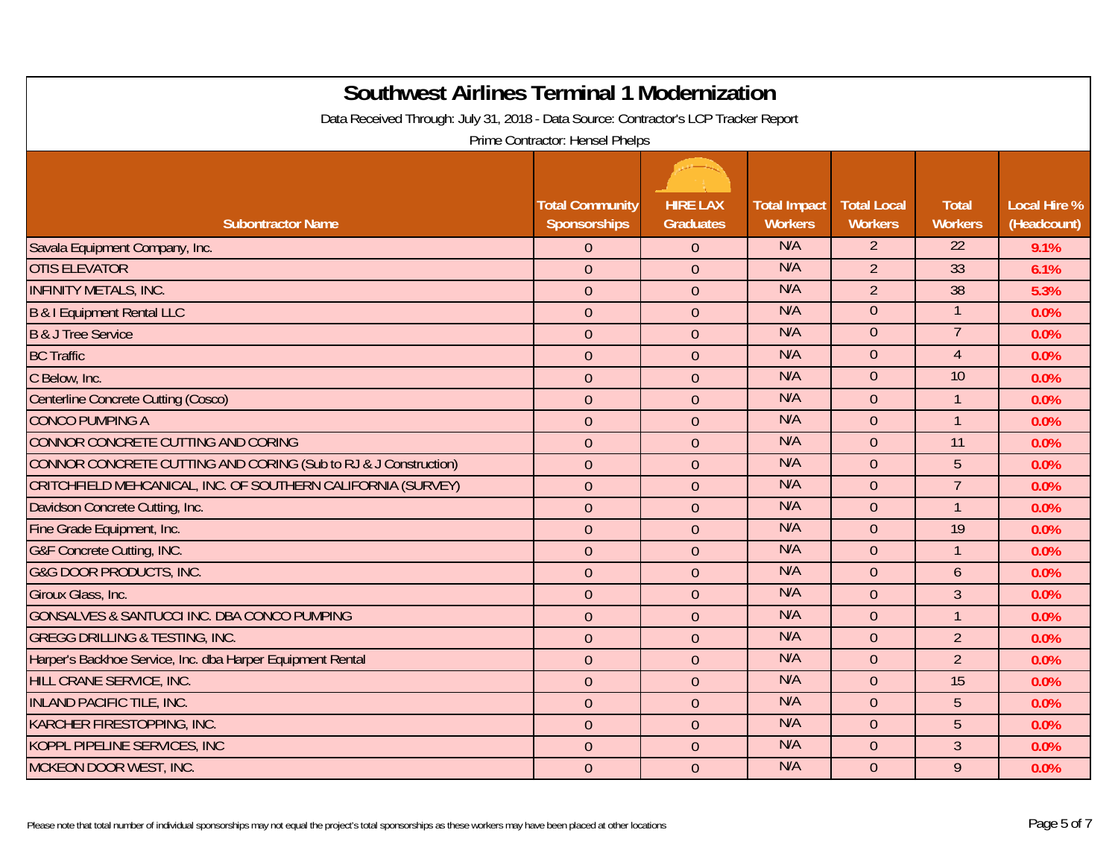| <b>Southwest Airlines Terminal 1 Modernization</b><br>Data Received Through: July 31, 2018 - Data Source: Contractor's LCP Tracker Report |                                        |                                     |                                       |                                      |                                |                                    |  |  |  |
|-------------------------------------------------------------------------------------------------------------------------------------------|----------------------------------------|-------------------------------------|---------------------------------------|--------------------------------------|--------------------------------|------------------------------------|--|--|--|
| Prime Contractor: Hensel Phelps                                                                                                           |                                        |                                     |                                       |                                      |                                |                                    |  |  |  |
| <b>Subontractor Name</b>                                                                                                                  | <b>Total Community</b><br>Sponsorships | <b>HIRE LAX</b><br><b>Graduates</b> | <b>Total Impact</b><br><b>Workers</b> | <b>Total Local</b><br><b>Workers</b> | <b>Total</b><br><b>Workers</b> | <b>Local Hire %</b><br>(Headcount) |  |  |  |
| Savala Equipment Company, Inc.                                                                                                            | $\overline{0}$                         | $\overline{0}$                      | N/A                                   | $\overline{2}$                       | $\overline{22}$                | 9.1%                               |  |  |  |
| <b>OTIS ELEVATOR</b>                                                                                                                      | $\overline{0}$                         | $\overline{0}$                      | N/A                                   | $\overline{2}$                       | 33                             | 6.1%                               |  |  |  |
| <b>INFINITY METALS, INC.</b>                                                                                                              | $\overline{0}$                         | $\overline{0}$                      | N/A                                   | $\overline{2}$                       | 38                             | 5.3%                               |  |  |  |
| <b>B &amp; I Equipment Rental LLC</b>                                                                                                     | $\overline{0}$                         | $\overline{0}$                      | N/A                                   | $\overline{0}$                       | 1                              | 0.0%                               |  |  |  |
| <b>B &amp; J Tree Service</b>                                                                                                             | $\overline{0}$                         | $\overline{0}$                      | N/A                                   | $\overline{0}$                       | $\overline{7}$                 | 0.0%                               |  |  |  |
| <b>BC Traffic</b>                                                                                                                         | $\overline{0}$                         | $\overline{0}$                      | N/A                                   | $\overline{0}$                       | $\overline{4}$                 | 0.0%                               |  |  |  |
| C Below, Inc.                                                                                                                             | $\overline{0}$                         | $\overline{0}$                      | N/A                                   | $\overline{0}$                       | 10                             | 0.0%                               |  |  |  |
| <b>Centerline Concrete Cutting (Cosco)</b>                                                                                                | $\overline{0}$                         | $\overline{0}$                      | N/A                                   | $\overline{0}$                       | $\mathbf{1}$                   | 0.0%                               |  |  |  |
| <b>CONCO PUMPING A</b>                                                                                                                    | $\overline{0}$                         | $\overline{0}$                      | N/A                                   | $\overline{0}$                       | $\mathbf{1}$                   | 0.0%                               |  |  |  |
| CONNOR CONCRETE CUTTING AND CORING                                                                                                        | $\overline{0}$                         | $\overline{0}$                      | N/A                                   | $\overline{0}$                       | 11                             | 0.0%                               |  |  |  |
| CONNOR CONCRETE CUTTING AND CORING (Sub to RJ & J Construction)                                                                           | $\overline{0}$                         | $\overline{0}$                      | N/A                                   | $\overline{0}$                       | 5                              | 0.0%                               |  |  |  |
| CRITCHFIELD MEHCANICAL, INC. OF SOUTHERN CALIFORNIA (SURVEY)                                                                              | $\overline{0}$                         | $\overline{0}$                      | N/A                                   | $\overline{0}$                       | $\overline{7}$                 | 0.0%                               |  |  |  |
| Davidson Concrete Cutting, Inc.                                                                                                           | $\overline{0}$                         | $\overline{0}$                      | N/A                                   | $\overline{0}$                       | $\mathbf{1}$                   | 0.0%                               |  |  |  |
| Fine Grade Equipment, Inc.                                                                                                                | $\overline{0}$                         | $\overline{0}$                      | N/A                                   | $\overline{0}$                       | 19                             | 0.0%                               |  |  |  |
| G&F Concrete Cutting, INC.                                                                                                                | $\overline{0}$                         | $\overline{0}$                      | N/A                                   | $\overline{0}$                       | $\mathbf{1}$                   | 0.0%                               |  |  |  |
| <b>G&amp;G DOOR PRODUCTS, INC.</b>                                                                                                        | $\overline{0}$                         | $\overline{0}$                      | N/A                                   | $\overline{0}$                       | $\overline{6}$                 | 0.0%                               |  |  |  |
| Giroux Glass, Inc.                                                                                                                        | $\overline{0}$                         | $\overline{0}$                      | N/A                                   | $\overline{0}$                       | $\overline{3}$                 | 0.0%                               |  |  |  |
| GONSALVES & SANTUCCI INC. DBA CONCO PUMPING                                                                                               | $\overline{0}$                         | $\overline{0}$                      | N/A                                   | $\overline{0}$                       | $\mathbf{1}$                   | 0.0%                               |  |  |  |
| <b>GREGG DRILLING &amp; TESTING, INC.</b>                                                                                                 | $\overline{0}$                         | $\overline{0}$                      | N/A                                   | $\overline{0}$                       | $\overline{2}$                 | 0.0%                               |  |  |  |
| Harper's Backhoe Service, Inc. dba Harper Equipment Rental                                                                                | $\overline{0}$                         | $\overline{0}$                      | N/A                                   | $\overline{0}$                       | $\overline{2}$                 | 0.0%                               |  |  |  |
| HILL CRANE SERVICE, INC.                                                                                                                  | $\overline{0}$                         | $\overline{0}$                      | N/A                                   | $\overline{0}$                       | 15                             | 0.0%                               |  |  |  |
| <b>INLAND PACIFIC TILE, INC.</b>                                                                                                          | $\overline{0}$                         | $\overline{0}$                      | N/A                                   | $\overline{0}$                       | 5                              | 0.0%                               |  |  |  |
| <b>KARCHER FIRESTOPPING, INC.</b>                                                                                                         | $\overline{0}$                         | $\overline{0}$                      | N/A                                   | $\overline{0}$                       | 5                              | 0.0%                               |  |  |  |
| KOPPL PIPELINE SERVICES, INC                                                                                                              | $\overline{0}$                         | $\overline{0}$                      | N/A                                   | $\overline{0}$                       | $\overline{3}$                 | 0.0%                               |  |  |  |
| MCKEON DOOR WEST, INC.                                                                                                                    | $\overline{0}$                         | $\overline{0}$                      | N/A                                   | $\overline{0}$                       | 9                              | 0.0%                               |  |  |  |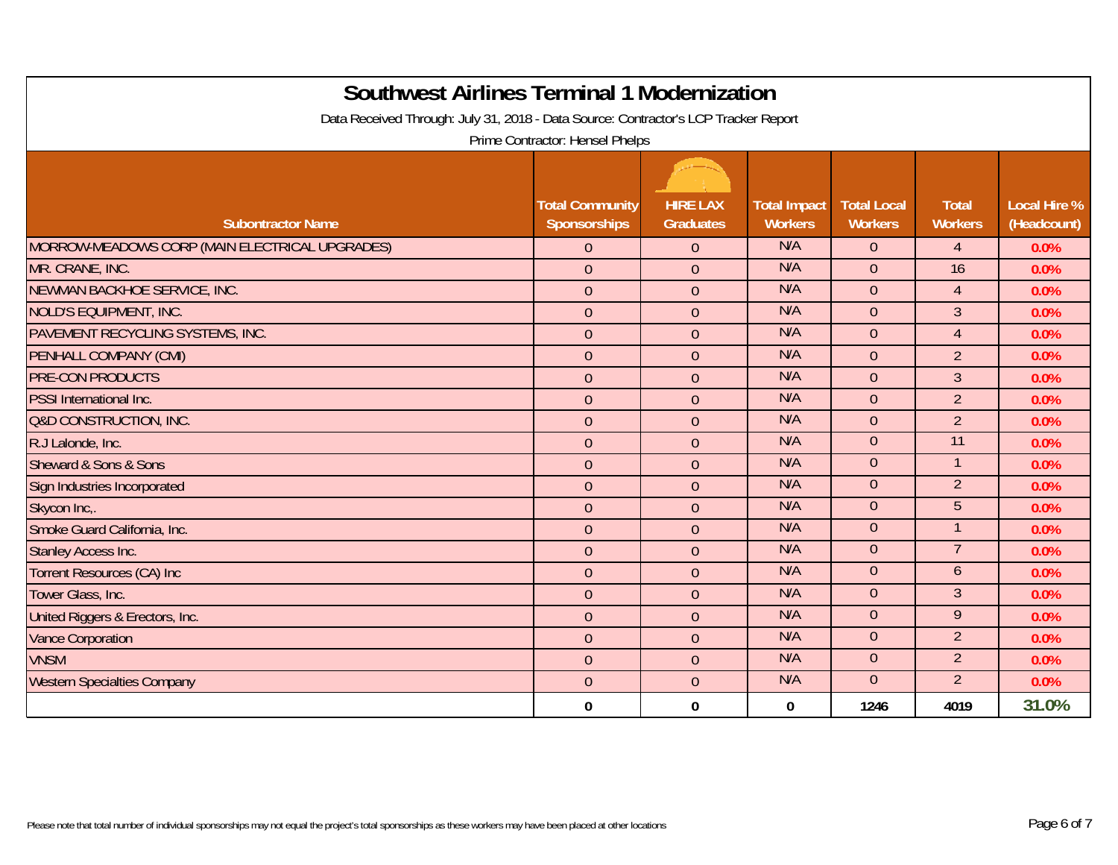| <b>Southwest Airlines Terminal 1 Modernization</b>                                  |                                               |                                     |                                       |                                      |                                |                                    |  |  |  |
|-------------------------------------------------------------------------------------|-----------------------------------------------|-------------------------------------|---------------------------------------|--------------------------------------|--------------------------------|------------------------------------|--|--|--|
| Data Received Through: July 31, 2018 - Data Source: Contractor's LCP Tracker Report |                                               |                                     |                                       |                                      |                                |                                    |  |  |  |
| Prime Contractor: Hensel Phelps                                                     |                                               |                                     |                                       |                                      |                                |                                    |  |  |  |
| <b>Subontractor Name</b>                                                            | <b>Total Community</b><br><b>Sponsorships</b> | <b>HIRE LAX</b><br><b>Graduates</b> | <b>Total Impact</b><br><b>Workers</b> | <b>Total Local</b><br><b>Workers</b> | <b>Total</b><br><b>Workers</b> | <b>Local Hire %</b><br>(Headcount) |  |  |  |
| MORROW-MEADOWS CORP (MAIN ELECTRICAL UPGRADES)                                      | $\overline{0}$                                | $\overline{0}$                      | N/A                                   | $\overline{0}$                       | $\overline{4}$                 | 0.0%                               |  |  |  |
| MR. CRANE, INC.                                                                     | $\overline{0}$                                | $\overline{0}$                      | N/A                                   | $\overline{0}$                       | 16                             | 0.0%                               |  |  |  |
| NEWMAN BACKHOE SERVICE, INC.                                                        | $\overline{0}$                                | $\overline{0}$                      | N/A                                   | $\overline{0}$                       | $\overline{4}$                 | 0.0%                               |  |  |  |
| NOLD'S EQUIPMENT, INC.                                                              | $\overline{0}$                                | $\overline{0}$                      | N/A                                   | $\overline{0}$                       | 3                              | 0.0%                               |  |  |  |
| PAVEMENT RECYCLING SYSTEMS, INC.                                                    | $\mathbf{0}$                                  | $\overline{0}$                      | N/A                                   | $\overline{0}$                       | $\overline{4}$                 | 0.0%                               |  |  |  |
| <b>PENHALL COMPANY (CMI)</b>                                                        | $\overline{0}$                                | $\overline{0}$                      | N/A                                   | $\overline{0}$                       | $\overline{2}$                 | 0.0%                               |  |  |  |
| <b>PRE-CON PRODUCTS</b>                                                             | $\overline{0}$                                | $\Omega$                            | N/A                                   | $\overline{0}$                       | $\overline{3}$                 | 0.0%                               |  |  |  |
| <b>PSSI</b> International Inc.                                                      | $\overline{0}$                                | $\overline{0}$                      | N/A                                   | $\overline{0}$                       | $\overline{2}$                 | 0.0%                               |  |  |  |
| <b>Q&amp;D CONSTRUCTION, INC.</b>                                                   | $\overline{0}$                                | $\overline{0}$                      | N/A                                   | $\overline{0}$                       | $\overline{2}$                 | 0.0%                               |  |  |  |
| R.J Lalonde, Inc.                                                                   | $\overline{0}$                                | $\overline{0}$                      | N/A                                   | $\overline{0}$                       | 11                             | 0.0%                               |  |  |  |
| Sheward & Sons & Sons                                                               | $\overline{0}$                                | $\overline{0}$                      | N/A                                   | $\overline{0}$                       | $\overline{1}$                 | 0.0%                               |  |  |  |
| Sign Industries Incorporated                                                        | $\overline{0}$                                | $\overline{0}$                      | N/A                                   | $\overline{0}$                       | $\overline{2}$                 | 0.0%                               |  |  |  |
| Skycon Inc,.                                                                        | $\overline{0}$                                | $\overline{0}$                      | N/A                                   | $\overline{0}$                       | 5                              | 0.0%                               |  |  |  |
| Smoke Guard California, Inc.                                                        | $\overline{0}$                                | $\overline{0}$                      | N/A                                   | $\overline{0}$                       | 1                              | 0.0%                               |  |  |  |
| Stanley Access Inc.                                                                 | $\overline{0}$                                | $\overline{0}$                      | N/A                                   | $\overline{0}$                       | 7                              | 0.0%                               |  |  |  |
| <b>Torrent Resources (CA) Inc</b>                                                   | $\overline{0}$                                | $\overline{0}$                      | N/A                                   | $\overline{0}$                       | 6                              | 0.0%                               |  |  |  |
| Tower Glass, Inc.                                                                   | $\mathbf{0}$                                  | $\overline{0}$                      | N/A                                   | $\overline{0}$                       | 3                              | 0.0%                               |  |  |  |
| United Riggers & Erectors, Inc.                                                     | $\overline{0}$                                | $\overline{0}$                      | N/A                                   | $\Omega$                             | 9                              | 0.0%                               |  |  |  |
| <b>Vance Corporation</b>                                                            | $\overline{0}$                                | $\overline{0}$                      | N/A                                   | $\overline{0}$                       | $\overline{2}$                 | 0.0%                               |  |  |  |
| <b>VNSM</b>                                                                         | $\mathbf{0}$                                  | $\overline{0}$                      | N/A                                   | $\overline{0}$                       | $\overline{2}$                 | 0.0%                               |  |  |  |
| <b>Western Specialties Company</b>                                                  | $\overline{0}$                                | $\overline{0}$                      | N/A                                   | $\overline{0}$                       | $\overline{2}$                 | 0.0%                               |  |  |  |
|                                                                                     | $\bf{0}$                                      | $\Omega$                            | 0                                     | 1246                                 | 4019                           | 31.0%                              |  |  |  |